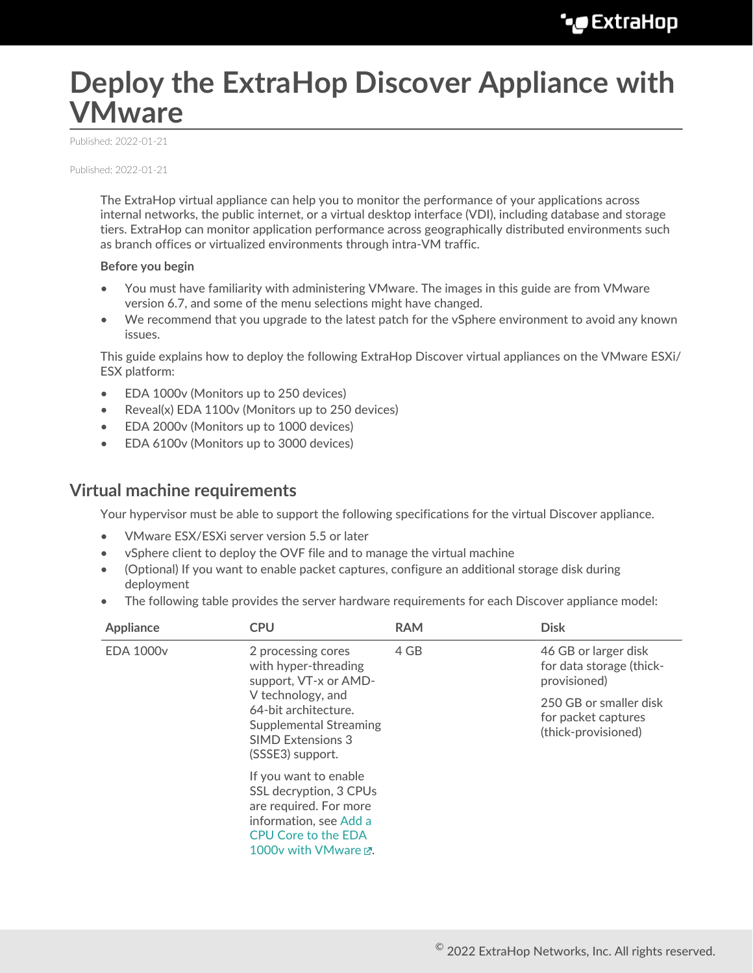# **Deploy the ExtraHop Discover Appliance with VMware**

Published: 2022-01-21

Published: 2022-01-21

The ExtraHop virtual appliance can help you to monitor the performance of your applications across internal networks, the public internet, or a virtual desktop interface (VDI), including database and storage tiers. ExtraHop can monitor application performance across geographically distributed environments such as branch offices or virtualized environments through intra-VM traffic.

#### **Before you begin**

- You must have familiarity with administering VMware. The images in this guide are from VMware version 6.7, and some of the menu selections might have changed.
- We recommend that you upgrade to the latest patch for the vSphere environment to avoid any known issues.

This guide explains how to deploy the following ExtraHop Discover virtual appliances on the VMware ESXi/ ESX platform:

- EDA 1000v (Monitors up to 250 devices)
- Reveal(x) EDA 1100v (Monitors up to 250 devices)
- EDA 2000v (Monitors up to 1000 devices)
- EDA 6100v (Monitors up to 3000 devices)

## **Virtual machine requirements**

Your hypervisor must be able to support the following specifications for the virtual Discover appliance.

- VMware ESX/ESXi server version 5.5 or later
- vSphere client to deploy the OVF file and to manage the virtual machine
- (Optional) If you want to enable packet captures, configure an additional storage disk during deployment
- The following table provides the server hardware requirements for each Discover appliance model:

| Appliance        | <b>CPU</b>                                                                                                                                                | <b>RAM</b> | <b>Disk</b>                                                          |
|------------------|-----------------------------------------------------------------------------------------------------------------------------------------------------------|------------|----------------------------------------------------------------------|
| <b>EDA 1000v</b> | 2 processing cores<br>with hyper-threading<br>support, VT-x or AMD-                                                                                       | 4 GB       | 46 GB or larger disk<br>for data storage (thick-<br>provisioned)     |
|                  | V technology, and<br>64-bit architecture.<br><b>Supplemental Streaming</b><br><b>SIMD Extensions 3</b><br>(SSSE3) support.                                |            | 250 GB or smaller disk<br>for packet captures<br>(thick-provisioned) |
|                  | If you want to enable<br>SSL decryption, 3 CPUs<br>are required. For more<br>information, see Add a<br><b>CPU Core to the EDA</b><br>1000v with VMware P. |            |                                                                      |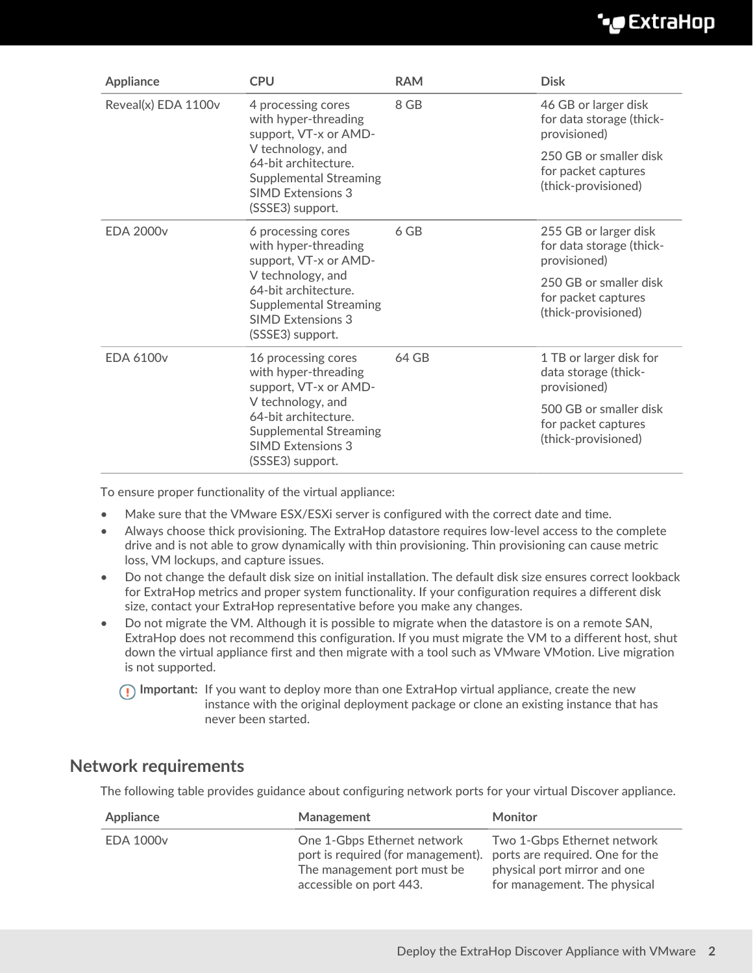## **°∙e** ExtraHop

| Appliance           | <b>CPU</b>                                                                                                                                                                                         | <b>RAM</b> | <b>Disk</b>                                                          |
|---------------------|----------------------------------------------------------------------------------------------------------------------------------------------------------------------------------------------------|------------|----------------------------------------------------------------------|
| Reveal(x) EDA 1100v | 4 processing cores<br>with hyper-threading<br>support, VT-x or AMD-<br>V technology, and<br>64-bit architecture.<br><b>Supplemental Streaming</b><br><b>SIMD Extensions 3</b><br>(SSSE3) support.  | 8 GB       | 46 GB or larger disk<br>for data storage (thick-<br>provisioned)     |
|                     |                                                                                                                                                                                                    |            | 250 GB or smaller disk<br>for packet captures<br>(thick-provisioned) |
| <b>EDA 2000v</b>    | 6 processing cores<br>with hyper-threading<br>support, VT-x or AMD-<br>V technology, and<br>64-bit architecture.<br><b>Supplemental Streaming</b><br><b>SIMD Extensions 3</b><br>(SSSE3) support.  | 6 GB       | 255 GB or larger disk<br>for data storage (thick-<br>provisioned)    |
|                     |                                                                                                                                                                                                    |            | 250 GB or smaller disk<br>for packet captures<br>(thick-provisioned) |
| <b>EDA 6100v</b>    | 16 processing cores<br>with hyper-threading<br>support, VT-x or AMD-<br>V technology, and<br>64-bit architecture.<br><b>Supplemental Streaming</b><br><b>SIMD Extensions 3</b><br>(SSSE3) support. | 64 GB      | 1 TB or larger disk for<br>data storage (thick-<br>provisioned)      |
|                     |                                                                                                                                                                                                    |            | 500 GB or smaller disk<br>for packet captures<br>(thick-provisioned) |

To ensure proper functionality of the virtual appliance:

- Make sure that the VMware ESX/ESXi server is configured with the correct date and time.
- Always choose thick provisioning. The ExtraHop datastore requires low-level access to the complete drive and is not able to grow dynamically with thin provisioning. Thin provisioning can cause metric loss, VM lockups, and capture issues.
- Do not change the default disk size on initial installation. The default disk size ensures correct lookback for ExtraHop metrics and proper system functionality. If your configuration requires a different disk size, contact your ExtraHop representative before you make any changes.
- Do not migrate the VM. Although it is possible to migrate when the datastore is on a remote SAN, ExtraHop does not recommend this configuration. If you must migrate the VM to a different host, shut down the virtual appliance first and then migrate with a tool such as VMware VMotion. Live migration is not supported.

**Important:** If you want to deploy more than one ExtraHop virtual appliance, create the new instance with the original deployment package or clone an existing instance that has never been started.

## **Network requirements**

The following table provides guidance about configuring network ports for your virtual Discover appliance.

| Appliance        | Management                                                                                                                  | <b>Monitor</b>                                                                                                                 |
|------------------|-----------------------------------------------------------------------------------------------------------------------------|--------------------------------------------------------------------------------------------------------------------------------|
| <b>EDA 1000v</b> | One 1-Gbps Ethernet network<br>port is required (for management).<br>The management port must be<br>accessible on port 443. | Two 1-Gbps Ethernet network<br>ports are required. One for the<br>physical port mirror and one<br>for management. The physical |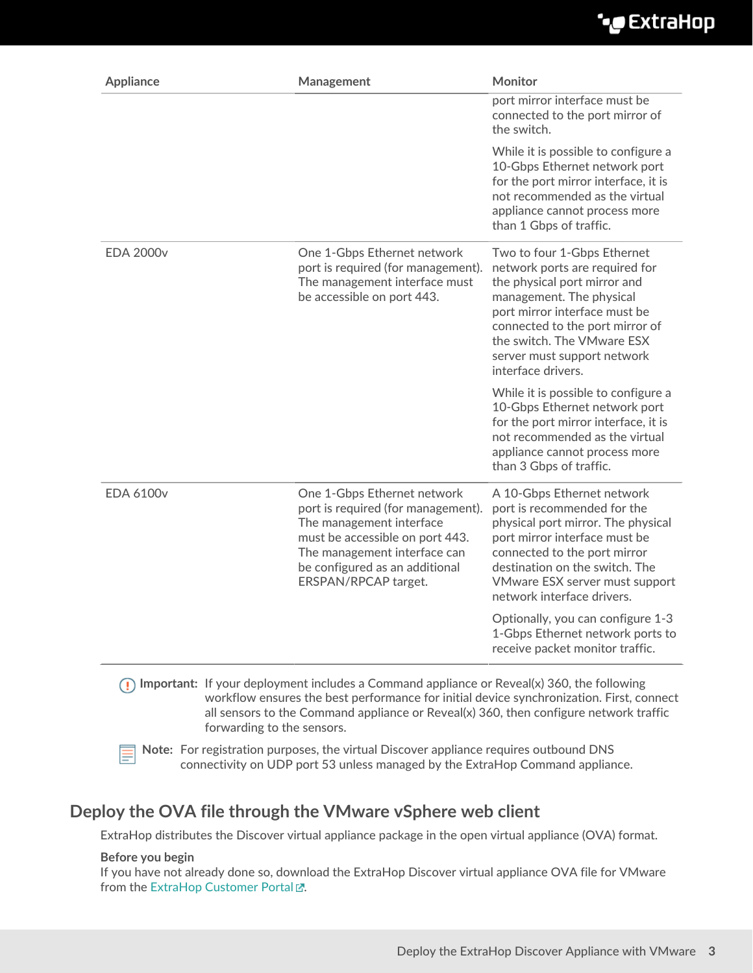## ExtraHop **@•**

| <b>Appliance</b> | Management                                                                                                                                                                                                                 | Monitor                                                                                                                                                                                                                                                                          |
|------------------|----------------------------------------------------------------------------------------------------------------------------------------------------------------------------------------------------------------------------|----------------------------------------------------------------------------------------------------------------------------------------------------------------------------------------------------------------------------------------------------------------------------------|
|                  |                                                                                                                                                                                                                            | port mirror interface must be<br>connected to the port mirror of<br>the switch.                                                                                                                                                                                                  |
|                  |                                                                                                                                                                                                                            | While it is possible to configure a<br>10-Gbps Ethernet network port<br>for the port mirror interface, it is<br>not recommended as the virtual<br>appliance cannot process more<br>than 1 Gbps of traffic.                                                                       |
| <b>EDA 2000v</b> | One 1-Gbps Ethernet network<br>port is required (for management).<br>The management interface must<br>be accessible on port 443.                                                                                           | Two to four 1-Gbps Ethernet<br>network ports are required for<br>the physical port mirror and<br>management. The physical<br>port mirror interface must be<br>connected to the port mirror of<br>the switch. The VMware ESX<br>server must support network<br>interface drivers. |
|                  |                                                                                                                                                                                                                            | While it is possible to configure a<br>10-Gbps Ethernet network port<br>for the port mirror interface, it is<br>not recommended as the virtual<br>appliance cannot process more<br>than 3 Gbps of traffic.                                                                       |
| <b>EDA 6100v</b> | One 1-Gbps Ethernet network<br>port is required (for management).<br>The management interface<br>must be accessible on port 443.<br>The management interface can<br>be configured as an additional<br>ERSPAN/RPCAP target. | A 10-Gbps Ethernet network<br>port is recommended for the<br>physical port mirror. The physical<br>port mirror interface must be<br>connected to the port mirror<br>destination on the switch. The<br>VMware ESX server must support<br>network interface drivers.               |
|                  |                                                                                                                                                                                                                            | Optionally, you can configure 1-3<br>1-Gbps Ethernet network ports to<br>receive packet monitor traffic.                                                                                                                                                                         |

**Important:** If your deployment includes a Command appliance or Reveal(x) 360, the following workflow ensures the best performance for initial device synchronization. First, connect all sensors to the Command appliance or Reveal(x) 360, then configure network traffic forwarding to the sensors.

**Note:** For registration purposes, the virtual Discover appliance requires outbound DNS connectivity on UDP port 53 unless managed by the ExtraHop Command appliance.

## **Deploy the OVA file through the VMware vSphere web client**

ExtraHop distributes the Discover virtual appliance package in the open virtual appliance (OVA) format.

#### **Before you begin**

If you have not already done so, download the ExtraHop Discover virtual appliance OVA file for VMware from the [ExtraHop Customer Portal](https://customers.extrahop.com/downloads/virtual-appliances/) ...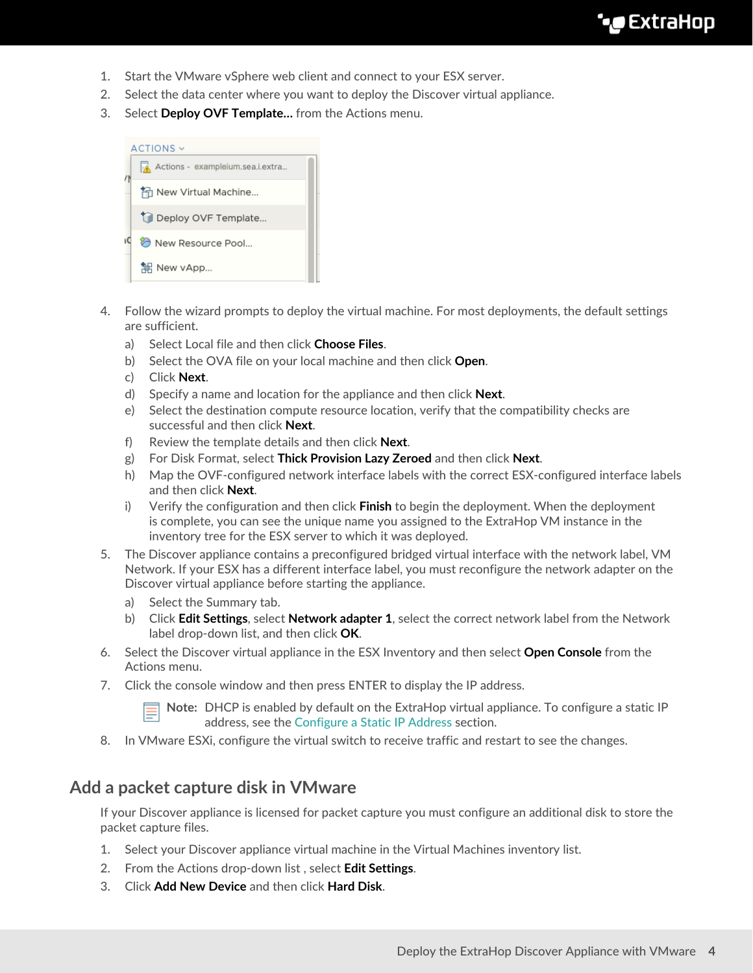## **∙e** ExtraHop

- 1. Start the VMware vSphere web client and connect to your ESX server.
- 2. Select the data center where you want to deploy the Discover virtual appliance.
- 3. Select **Deploy OVF Template…** from the Actions menu.



- 4. Follow the wizard prompts to deploy the virtual machine. For most deployments, the default settings are sufficient.
	- a) Select Local file and then click **Choose Files**.
	- b) Select the OVA file on your local machine and then click **Open**.
	- c) Click **Next**.
	- d) Specify a name and location for the appliance and then click **Next**.
	- e) Select the destination compute resource location, verify that the compatibility checks are successful and then click **Next**.
	- f) Review the template details and then click **Next**.
	- g) For Disk Format, select **Thick Provision Lazy Zeroed** and then click **Next**.
	- h) Map the OVF-configured network interface labels with the correct ESX-configured interface labels and then click **Next**.
	- i) Verify the configuration and then click **Finish** to begin the deployment. When the deployment is complete, you can see the unique name you assigned to the ExtraHop VM instance in the inventory tree for the ESX server to which it was deployed.
- 5. The Discover appliance contains a preconfigured bridged virtual interface with the network label, VM Network. If your ESX has a different interface label, you must reconfigure the network adapter on the Discover virtual appliance before starting the appliance.
	- a) Select the Summary tab.
	- b) Click **Edit Settings**, select **Network adapter 1**, select the correct network label from the Network label drop-down list, and then click **OK**.
- 6. Select the Discover virtual appliance in the ESX Inventory and then select **Open Console** from the Actions menu.
- 7. Click the console window and then press ENTER to display the IP address.

**Note:** DHCP is enabled by default on the ExtraHop virtual appliance. To configure a static IP address, see the [Configure a Static IP Address](#page-4-0) section.

8. In VMware ESXi, configure the virtual switch to receive traffic and restart to see the changes.

## **Add a packet capture disk in VMware**

If your Discover appliance is licensed for packet capture you must configure an additional disk to store the packet capture files.

- 1. Select your Discover appliance virtual machine in the Virtual Machines inventory list.
- 2. From the Actions drop-down list , select **Edit Settings**.
- 3. Click **Add New Device** and then click **Hard Disk**.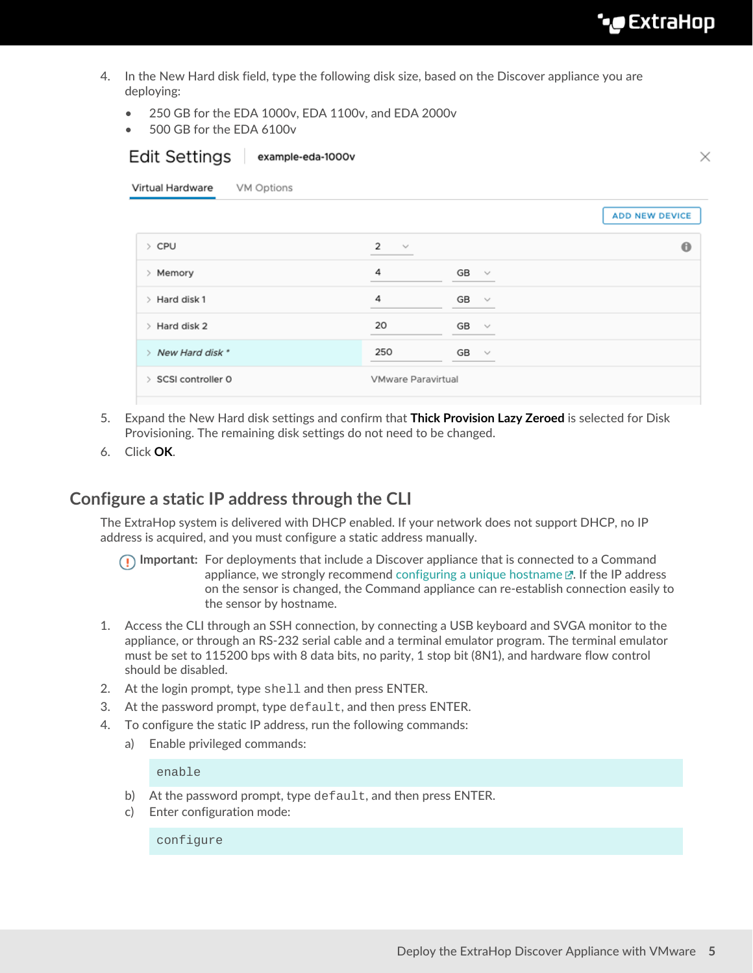- 4. In the New Hard disk field, type the following disk size, based on the Discover appliance you are deploying:
	- 250 GB for the EDA 1000v, EDA 1100v, and EDA 2000v
	- 500 GB for the EDA 6100v

 $F\sim H\ddot{F} + F\sim H\ddot{F}$  avample edg. 1000v

| Edit Settings<br>example-eda-1000v |              |                       |
|------------------------------------|--------------|-----------------------|
|                                    |              |                       |
|                                    |              | <b>ADD NEW DEVICE</b> |
| $\overline{2}$<br>$\searrow$       |              | $\bf \bm \theta$      |
| 4                                  | GB<br>$\sim$ |                       |
| 4                                  | GB<br>$\sim$ |                       |
| 20                                 | GB<br>$\sim$ |                       |
| 250                                | GB<br>$\sim$ |                       |
|                                    |              |                       |
|                                    |              | VMware Paravirtual    |

- 5. Expand the New Hard disk settings and confirm that **Thick Provision Lazy Zeroed** is selected for Disk Provisioning. The remaining disk settings do not need to be changed.
- 6. Click **OK**.

## <span id="page-4-0"></span>**Configure a static IP address through the CLI**

The ExtraHop system is delivered with DHCP enabled. If your network does not support DHCP, no IP address is acquired, and you must configure a static address manually.

- **Important:** For deployments that include a Discover appliance that is connected to a Command appliance, we strongly recommend [configuring a unique hostname](https://docs.extrahop.com/8.6/eta-admin-ui-guide/#connectivity)  $\mathbb{E}$ . If the IP address on the sensor is changed, the Command appliance can re-establish connection easily to the sensor by hostname.
- 1. Access the CLI through an SSH connection, by connecting a USB keyboard and SVGA monitor to the appliance, or through an RS-232 serial cable and a terminal emulator program. The terminal emulator must be set to 115200 bps with 8 data bits, no parity, 1 stop bit (8N1), and hardware flow control should be disabled.
- 2. At the login prompt, type shell and then press ENTER.
- 3. At the password prompt, type default, and then press ENTER.
- 4. To configure the static IP address, run the following commands:
	- a) Enable privileged commands:

enable

- b) At the password prompt, type default, and then press ENTER.
- c) Enter configuration mode:

configure